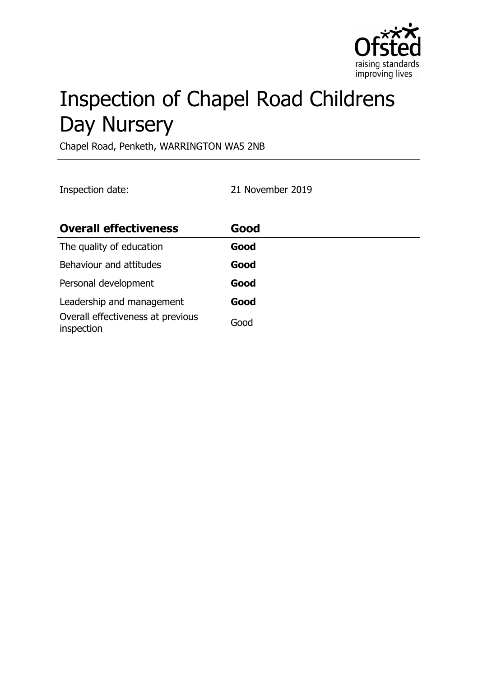

# Inspection of Chapel Road Childrens Day Nursery

Chapel Road, Penketh, WARRINGTON WA5 2NB

Inspection date: 21 November 2019

| <b>Overall effectiveness</b>                    | Good |
|-------------------------------------------------|------|
| The quality of education                        | Good |
| Behaviour and attitudes                         | Good |
| Personal development                            | Good |
| Leadership and management                       | Good |
| Overall effectiveness at previous<br>inspection | Good |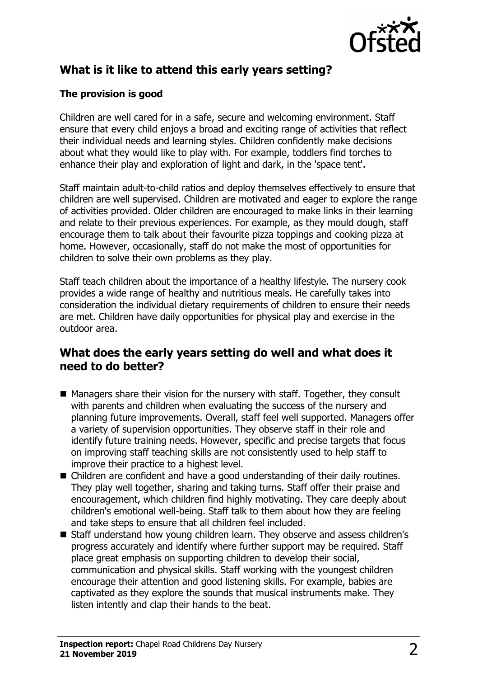

# **What is it like to attend this early years setting?**

## **The provision is good**

Children are well cared for in a safe, secure and welcoming environment. Staff ensure that every child enjoys a broad and exciting range of activities that reflect their individual needs and learning styles. Children confidently make decisions about what they would like to play with. For example, toddlers find torches to enhance their play and exploration of light and dark, in the 'space tent'.

Staff maintain adult-to-child ratios and deploy themselves effectively to ensure that children are well supervised. Children are motivated and eager to explore the range of activities provided. Older children are encouraged to make links in their learning and relate to their previous experiences. For example, as they mould dough, staff encourage them to talk about their favourite pizza toppings and cooking pizza at home. However, occasionally, staff do not make the most of opportunities for children to solve their own problems as they play.

Staff teach children about the importance of a healthy lifestyle. The nursery cook provides a wide range of healthy and nutritious meals. He carefully takes into consideration the individual dietary requirements of children to ensure their needs are met. Children have daily opportunities for physical play and exercise in the outdoor area.

## **What does the early years setting do well and what does it need to do better?**

- $\blacksquare$  Managers share their vision for the nursery with staff. Together, they consult with parents and children when evaluating the success of the nursery and planning future improvements. Overall, staff feel well supported. Managers offer a variety of supervision opportunities. They observe staff in their role and identify future training needs. However, specific and precise targets that focus on improving staff teaching skills are not consistently used to help staff to improve their practice to a highest level.
- $\blacksquare$  Children are confident and have a good understanding of their daily routines. They play well together, sharing and taking turns. Staff offer their praise and encouragement, which children find highly motivating. They care deeply about children's emotional well-being. Staff talk to them about how they are feeling and take steps to ensure that all children feel included.
- Staff understand how young children learn. They observe and assess children's progress accurately and identify where further support may be required. Staff place great emphasis on supporting children to develop their social, communication and physical skills. Staff working with the youngest children encourage their attention and good listening skills. For example, babies are captivated as they explore the sounds that musical instruments make. They listen intently and clap their hands to the beat.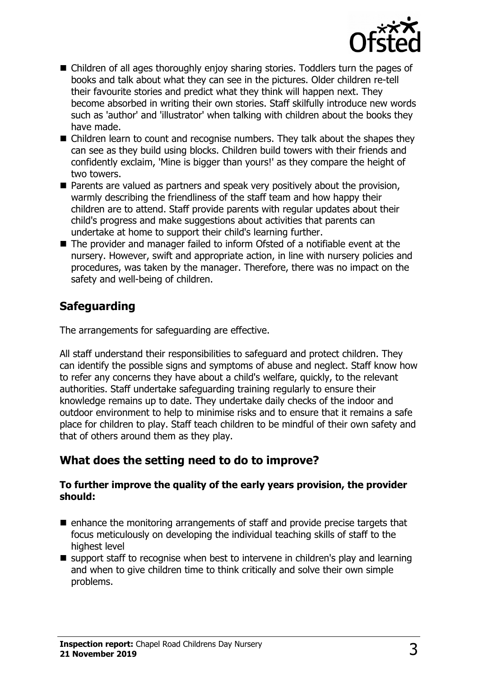

- Children of all ages thoroughly enjoy sharing stories. Toddlers turn the pages of books and talk about what they can see in the pictures. Older children re-tell their favourite stories and predict what they think will happen next. They become absorbed in writing their own stories. Staff skilfully introduce new words such as 'author' and 'illustrator' when talking with children about the books they have made.
- $\blacksquare$  Children learn to count and recognise numbers. They talk about the shapes they can see as they build using blocks. Children build towers with their friends and confidently exclaim, 'Mine is bigger than yours!' as they compare the height of two towers.
- $\blacksquare$  Parents are valued as partners and speak very positively about the provision, warmly describing the friendliness of the staff team and how happy their children are to attend. Staff provide parents with regular updates about their child's progress and make suggestions about activities that parents can undertake at home to support their child's learning further.
- $\blacksquare$  The provider and manager failed to inform Ofsted of a notifiable event at the nursery. However, swift and appropriate action, in line with nursery policies and procedures, was taken by the manager. Therefore, there was no impact on the safety and well-being of children.

# **Safeguarding**

The arrangements for safeguarding are effective.

All staff understand their responsibilities to safeguard and protect children. They can identify the possible signs and symptoms of abuse and neglect. Staff know how to refer any concerns they have about a child's welfare, quickly, to the relevant authorities. Staff undertake safeguarding training regularly to ensure their knowledge remains up to date. They undertake daily checks of the indoor and outdoor environment to help to minimise risks and to ensure that it remains a safe place for children to play. Staff teach children to be mindful of their own safety and that of others around them as they play.

# **What does the setting need to do to improve?**

#### **To further improve the quality of the early years provision, the provider should:**

- $\blacksquare$  enhance the monitoring arrangements of staff and provide precise targets that focus meticulously on developing the individual teaching skills of staff to the highest level
- $\blacksquare$  support staff to recognise when best to intervene in children's play and learning and when to give children time to think critically and solve their own simple problems.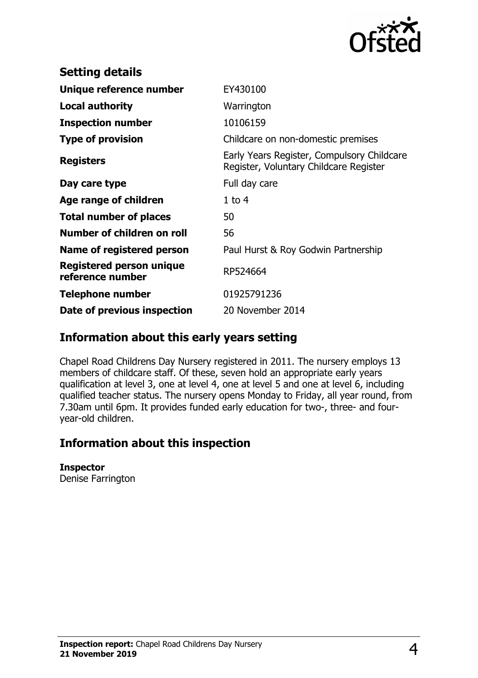

| <b>Setting details</b>                       |                                                                                      |
|----------------------------------------------|--------------------------------------------------------------------------------------|
| Unique reference number                      | EY430100                                                                             |
| <b>Local authority</b>                       | Warrington                                                                           |
| <b>Inspection number</b>                     | 10106159                                                                             |
| <b>Type of provision</b>                     | Childcare on non-domestic premises                                                   |
| <b>Registers</b>                             | Early Years Register, Compulsory Childcare<br>Register, Voluntary Childcare Register |
| Day care type                                | Full day care                                                                        |
| Age range of children                        | $1$ to $4$                                                                           |
| <b>Total number of places</b>                | 50                                                                                   |
| Number of children on roll                   | 56                                                                                   |
| Name of registered person                    | Paul Hurst & Roy Godwin Partnership                                                  |
| Registered person unique<br>reference number | RP524664                                                                             |
| Telephone number                             | 01925791236                                                                          |
| Date of previous inspection                  | 20 November 2014                                                                     |

## **Information about this early years setting**

Chapel Road Childrens Day Nursery registered in 2011. The nursery employs 13 members of childcare staff. Of these, seven hold an appropriate early years qualification at level 3, one at level 4, one at level 5 and one at level 6, including qualified teacher status. The nursery opens Monday to Friday, all year round, from 7.30am until 6pm. It provides funded early education for two-, three- and fouryear-old children.

# **Information about this inspection**

#### **Inspector**

Denise Farrington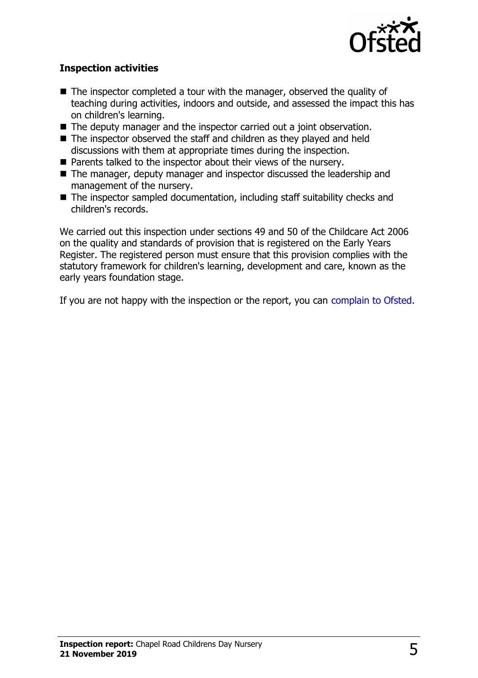

### **Inspection activities**

- $\blacksquare$  The inspector completed a tour with the manager, observed the quality of teaching during activities, indoors and outside, and assessed the impact this has on children's learning.
- $\blacksquare$  The deputy manager and the inspector carried out a joint observation.
- $\blacksquare$  The inspector observed the staff and children as they played and held discussions with them at appropriate times during the inspection.
- $\blacksquare$  Parents talked to the inspector about their views of the nursery.
- The manager, deputy manager and inspector discussed the leadership and management of the nursery.
- $\blacksquare$  The inspector sampled documentation, including staff suitability checks and children's records.

We carried out this inspection under sections 49 and 50 of the Childcare Act 2006 on the quality and standards of provision that is registered on the Early Years Register. The registered person must ensure that this provision complies with the statutory framework for children's learning, development and care, known as the early years foundation stage.

If you are not happy with the inspection or the report, you can [complain to Ofsted.](http://www.gov.uk/complain-ofsted-report)